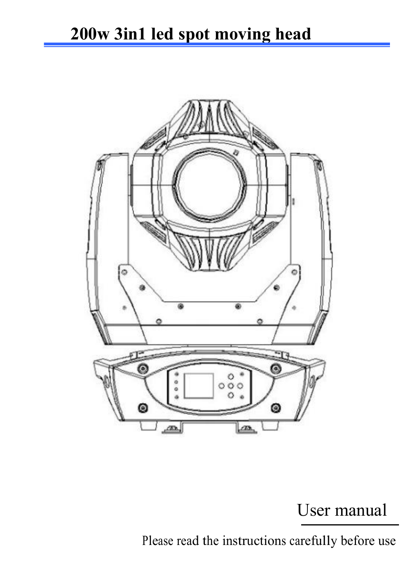

# User manual

Please read the instructions carefully before use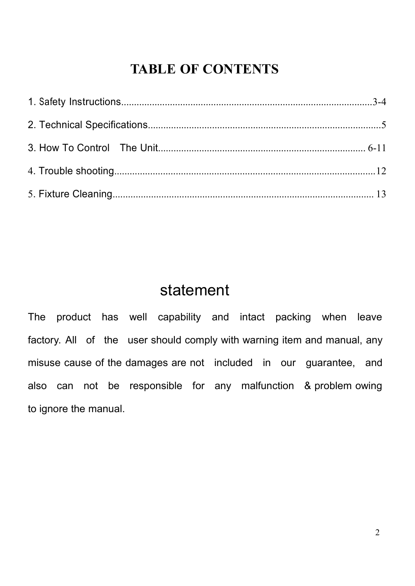# **TABLE OF CONTENTS**

# statement

The product has well capability and intact packing when leave factory. All of the user should comply with warning item and manual, any misuse cause of the damages are not included in our guarantee, and also can not be responsible for any malfunction & problem owing to ignore the manual.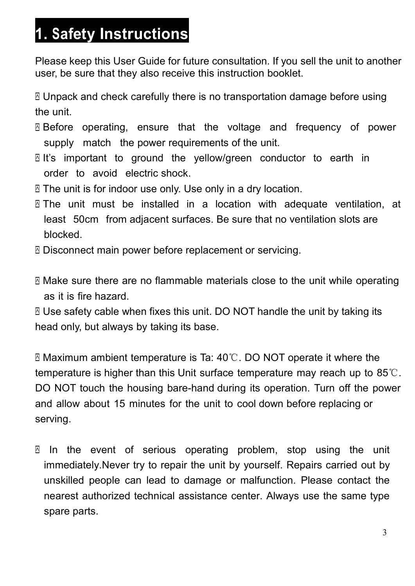# <span id="page-2-0"></span>**1. Safety Instructions**

Please keep this User Guide for future consultation. If you sell the unit to another user, be sure that they also receive this instruction booklet.

 Unpack and check carefully there is no transportation damage before using the unit.

- Before operating,ensure that the voltage and frequency of power supply match the power requirements of the unit.
- $\mathbb B$  It's important to ground the yellow/green conductor to earth in order to avoid electric shock.
- The unit is for indoor use only. Use only in a dry location.
- $\Box$  The unit must be installed in a location with adequate ventilation, at least 50cm from adjacent surfaces. Be sure that no ventilation slots are blocked.
- Disconnect main power before replacement or servicing.
- Make sure there are no flammable materials close to the unit while operating as it is fire hazard.

 Use safety cable when fixes this unit. DO NOT handle the unit by taking its head only, but always by taking its base.

 Maximum ambient temperature is Ta: 40℃.DO NOT operate it where the temperature is higher than this Unit surface temperature may reach up to 85℃. DO NOT touch the housing bare-hand during its operation. Turn off the power and allow about 15 minutes for the unit to cool down before replacing or serving.

 $\Box$  In the event of serious operating problem, stop using the unit immediately.Never try to repair the unit by yourself. Repairs carried out by unskilled people can lead to damage or malfunction. Please contact the nearest authorized technical assistance center. Always use the same type spare parts.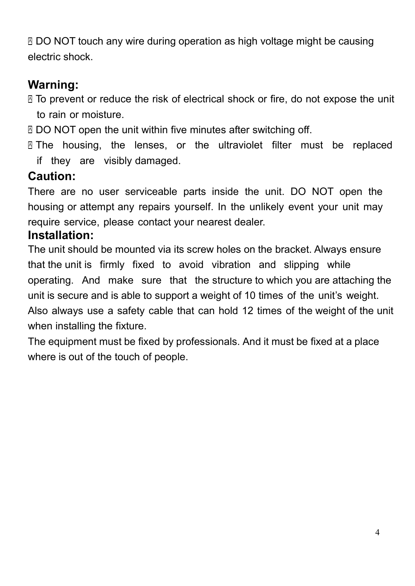⊠ DO NOT touch any wire during operation as high voltage might be causing electric shock.

## **Warning:**

- To prevent or reduce the risk of electrical shock or fire, do not expose the unit to rain or moisture.
- ⊠ DO NOT open the unit within five minutes after switching off.
- $\Box$  The housing, the lenses, or the ultraviolet filter must be replaced if they are visibly damaged.

## **Caution:**

There are no user serviceable parts inside the unit. DO NOT open the housing or attempt any repairs yourself. In the unlikely event your unit may require service, please contact your nearest dealer.

### **Installation:**

The unit should be mounted via its screw holes on the bracket. Always ensure that the unit is firmly fixed to avoid vibration and slipping while operating. And make sure that the structure to which you are attaching the unit is secure and is able to support a weight of 10 times of the unit's weight. Also always use a safety cable that can hold 12 times of the weight of the unit when installing the fixture.

The equipment must be fixed by professionals. And it must be fixed at a place where is out of the touch of people.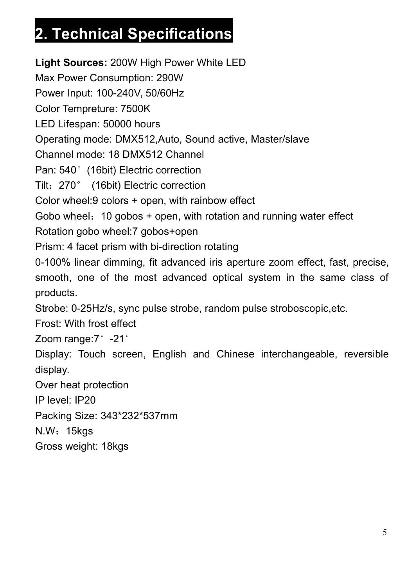# <span id="page-4-0"></span>**2. Technical Specifications**

**Light Sources:** 200W High Power White LED Max Power Consumption: 290W Power Input: 100-240V, 50/60Hz Color Tempreture: 7500K LED Lifespan: 50000 hours Operating mode: DMX512,Auto, Sound active, Master/slave Channel mode: 18 DMX512 Channel Pan: 540° (16bit) Electric correction Tilt: 270° (16bit) Electric correction Color wheel:9 colors + open, with rainbow effect Gobo wheel: 10 gobos + open, with rotation and running water effect Rotation gobo wheel:7 gobos+open Prism: 4 facet prism with bi-direction rotating 0-100% linear dimming, fit advanced iris aperture zoom effect, fast, precise, smooth, one of the most advanced optical system in the same class of products. Strobe: 0-25Hz/s, sync pulse strobe, random pulse stroboscopic,etc. Frost: With frost effect Zoom range: 7°-21° Display: Touch screen, English and Chinese interchangeable, reversible display. Over heat protection IP level: IP20 Packing Size: 343\*232\*537mm N.W:15kgs Gross weight: 18kgs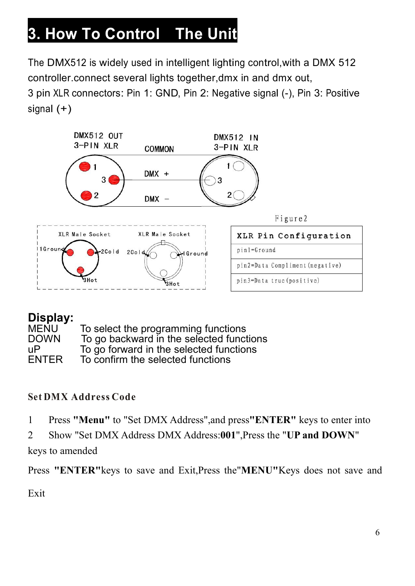# <span id="page-5-0"></span>**3. How To Control The Unit**

The DMX512 is widely used in intelligent lighting control,with a DMX 512 controller.connect several lights together,dmx in and dmx out,

3 pin XLR connectors: Pin 1: GND, Pin 2: Negative signal (-), Pin 3: Positive signal (+)



#### **Display:**

| MENU   | To select the programming functions      |
|--------|------------------------------------------|
| DOWN   | To go backward in the selected functions |
| uP     | To go forward in the selected functions  |
| ENTER. | To confirm the selected functions        |

#### **Set DMX Address Code**

- 1 Press **"Menu"** to"Set DMX Address",and press**"ENTER"** keys to enter into
- 2 Show "Set DMX Address DMX Address:**001**",Press the "**UP and DOWN**"

keys to amended

Press **"ENTER"**keys to save and Exit,Press the"**MENU"**Keys does not save and

Exit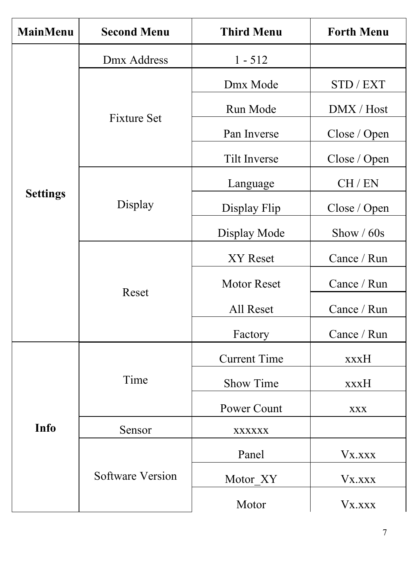| <b>MainMenu</b> | <b>Second Menu</b>      | <b>Third Menu</b>   | <b>Forth Menu</b>      |
|-----------------|-------------------------|---------------------|------------------------|
|                 | Dmx Address             | $1 - 512$           |                        |
|                 |                         | Dmx Mode            | STD / EXT              |
|                 | <b>Fixture Set</b>      | Run Mode            | $\rm DMX$ / $\rm Host$ |
|                 |                         | Pan Inverse         | Close / Open           |
|                 |                         | Tilt Inverse        | Close / Open           |
|                 |                         | Language            | CH / EN                |
| <b>Settings</b> | Display                 | Display Flip        | Close / Open           |
|                 |                         | Display Mode        | Show / 60s             |
|                 | Reset                   | XY Reset            | Cance / Run            |
|                 |                         | Motor Reset         | Cance / Run            |
|                 |                         | All Reset           | Cance / Run            |
|                 |                         | Factory             | Cance / Run            |
|                 |                         | <b>Current Time</b> | xxxH                   |
| <b>Info</b>     | Time                    | Show Time           | xxxH                   |
|                 |                         | Power Count         | <b>XXX</b>             |
|                 | Sensor                  | <b>XXXXXX</b>       |                        |
|                 |                         | Panel               | Vx.xxx                 |
|                 | <b>Software Version</b> | Motor_XY            | Vx.xxx                 |
|                 |                         | Motor               | Vx.xxx                 |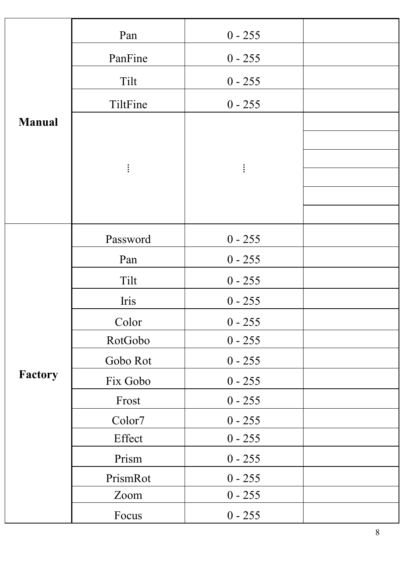|               | Pan      | $0 - 255$ |  |
|---------------|----------|-----------|--|
|               | PanFine  | $0 - 255$ |  |
|               | Tilt     | $0 - 255$ |  |
|               | TiltFine | $0 - 255$ |  |
| <b>Manual</b> |          |           |  |
|               |          |           |  |
|               | ŧ.       | $\vdots$  |  |
|               |          |           |  |
|               |          |           |  |
|               | Password | $0 - 255$ |  |
|               | Pan      | $0 - 255$ |  |
|               | Tilt     | $0 - 255$ |  |
|               | Iris     | $0 - 255$ |  |
|               | Color    | $0 - 255$ |  |
|               | RotGobo  | $0 - 255$ |  |
|               | Gobo Rot | $0 - 255$ |  |
| Factory       | Fix Gobo | $0 - 255$ |  |
|               | Frost    | $0 - 255$ |  |
|               | Color7   | $0 - 255$ |  |
|               | Effect   | $0 - 255$ |  |
|               | Prism    | $0 - 255$ |  |
|               | PrismRot | $0 - 255$ |  |
|               | Zoom     | $0 - 255$ |  |
|               | Focus    | $0 - 255$ |  |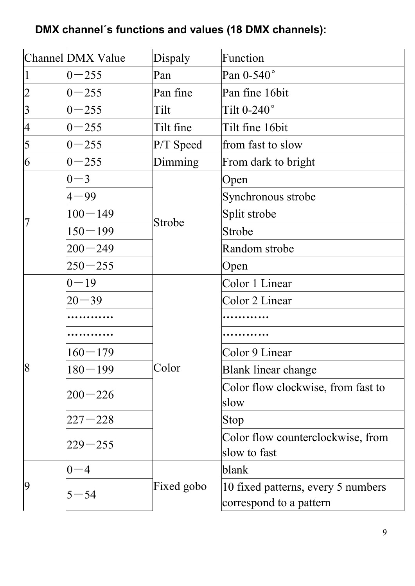### **DMX channel´s functions and values (18 DMX channels):**

|                          | Channel DMX Value<br>Dispaly |            | Function                                                      |  |
|--------------------------|------------------------------|------------|---------------------------------------------------------------|--|
| $\mathbf{1}$             | $0 - 255$                    | Pan        | Pan 0-540°                                                    |  |
| $\overline{2}$           | $0 - 255$                    | Pan fine   | Pan fine 16bit                                                |  |
| $\overline{3}$           | $0 - 255$                    | Tilt       | Tilt $0-240^\circ$                                            |  |
| $\overline{\mathcal{A}}$ | $0 - 255$                    | Tilt fine  | Tilt fine 16bit                                               |  |
| 5                        | $0 - 255$                    | P/T Speed  | from fast to slow                                             |  |
| 6                        | $0 - 255$                    | Dimming    | From dark to bright                                           |  |
|                          | $0 - 3$                      |            | Open                                                          |  |
|                          | $4 - 99$                     |            | Synchronous strobe                                            |  |
|                          | $100 - 149$                  | Strobe     | Split strobe                                                  |  |
| 7                        | $150 - 199$                  |            | Strobe                                                        |  |
|                          | $200 - 249$                  |            | Random strobe                                                 |  |
|                          | $250 - 255$                  |            | Open                                                          |  |
|                          | $0 - 19$                     |            | Color 1 Linear                                                |  |
|                          | $20 - 39$                    |            | Color 2 Linear                                                |  |
|                          | .                            |            |                                                               |  |
|                          | .                            |            |                                                               |  |
|                          | $160 - 179$                  |            | Color 9 Linear                                                |  |
| $\overline{8}$           | $180 - 199$                  | Color      | Blank linear change                                           |  |
|                          | $200 - 226$                  |            | Color flow clockwise, from fast to                            |  |
|                          |                              |            | slow                                                          |  |
|                          | $227 - 228$                  |            | Stop                                                          |  |
|                          | $229 - 255$                  |            | Color flow counterclockwise, from<br>slow to fast             |  |
|                          | $0 - 4$                      |            | blank                                                         |  |
| 9                        | $5 - 54$                     | Fixed gobo | 10 fixed patterns, every 5 numbers<br>correspond to a pattern |  |
|                          |                              |            |                                                               |  |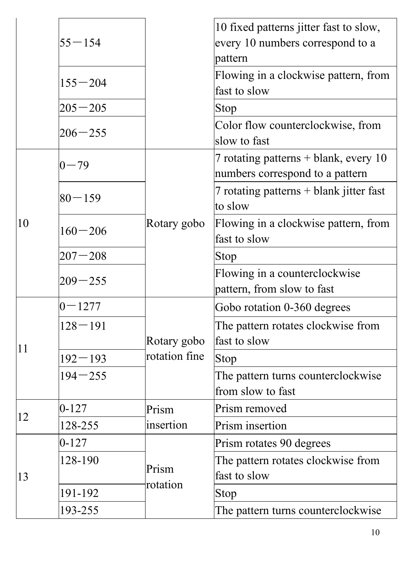|              |               |                   | 10 fixed patterns jitter fast to slow,  |
|--------------|---------------|-------------------|-----------------------------------------|
|              | $ 55 - 154 $  |                   | every 10 numbers correspond to a        |
|              |               |                   | pattern                                 |
|              | $155 - 204$   |                   | Flowing in a clockwise pattern, from    |
|              |               |                   | fast to slow                            |
|              | $ 205 - 205 $ |                   | Stop                                    |
|              | $ 206 - 255 $ |                   | Color flow counterclockwise, from       |
|              |               |                   | slow to fast                            |
|              | $ 0 - 79$     |                   | 7 rotating patterns $+$ blank, every 10 |
|              |               |                   | numbers correspond to a pattern         |
|              | $ 80 - 159$   |                   | 7 rotating patterns + blank jitter fast |
|              |               |                   | to slow                                 |
| $ 10\rangle$ | $160 - 206$   | Rotary gobo       | Flowing in a clockwise pattern, from    |
|              |               |                   | fast to slow                            |
|              | $ 207 - 208$  |                   | Stop                                    |
|              |               |                   | Flowing in a counterclockwise           |
|              | $ 209 - 255$  |                   | pattern, from slow to fast              |
|              | $ 0-1277$     |                   | Gobo rotation 0-360 degrees             |
|              | $128 - 191$   |                   | The pattern rotates clockwise from      |
| 11           |               | Rotary gobo       | fast to slow                            |
|              | $192 - 193$   | rotation fine     | Stop                                    |
|              | $194 - 255$   |                   | The pattern turns counterclockwise      |
|              |               |                   | from slow to fast                       |
| 12           | $ 0-127$      | Prism             | Prism removed                           |
|              | 128-255       | insertion         | Prism insertion                         |
|              | $ 0-127 $     |                   | Prism rotates 90 degrees                |
|              | 128-190       |                   | The pattern rotates clockwise from      |
| 13           |               | Prism<br>rotation | fast to slow                            |
|              | 191-192       |                   | Stop                                    |
|              | 193-255       |                   | The pattern turns counterclockwise      |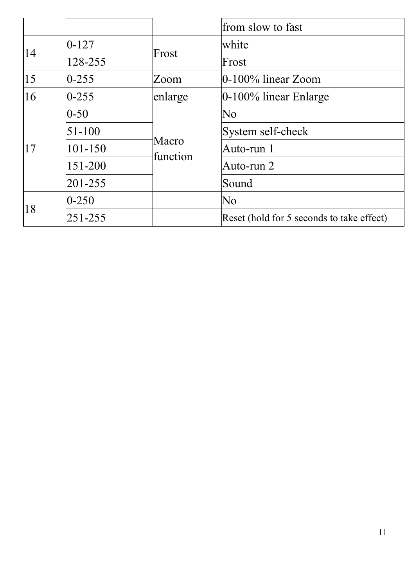|    |               |                   | from slow to fast                         |
|----|---------------|-------------------|-------------------------------------------|
| 14 | $0 - 127$     |                   | white                                     |
|    | 128-255       | Frost             | Frost                                     |
| 15 | $0 - 255$     | Zoom              | $ 0-100\% $ linear Zoom                   |
| 16 | $0 - 255$     | enlarge           | $ 0-100\% $ linear Enlarge                |
| 17 | $0 - 50$      |                   | No                                        |
|    | $51 - 100$    | Macro<br>function | System self-check                         |
|    | 101-150       |                   | Auto-run 1                                |
|    | 151-200       |                   | Auto-run 2                                |
|    | $ 201 - 255 $ |                   | Sound                                     |
| 18 | $0 - 250$     |                   | No                                        |
|    | $ 251 - 255 $ |                   | Reset (hold for 5 seconds to take effect) |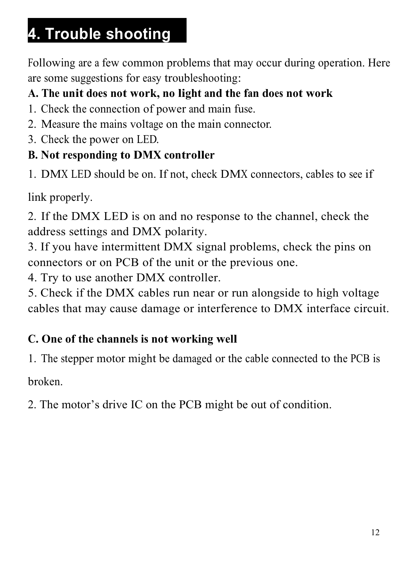# <span id="page-11-0"></span>**4. Trouble shooting**

Following are a few common problems that may occur during operation. Here are some suggestions for easy troubleshooting:

## **A. The unit does not work, no light and the fan does not work**

- 1. Check the connection of power and main fuse.
- 2. Measure the mains voltage on the main connector.
- 3. Check the power on LED.

## **B. Not responding to DMX controller**

1. DMX LED should be on. If not, check DMX connectors, cables to see if

link properly.

2. If the DMX LED is on and no response to the channel, check the address settings and DMX polarity.

3. If you have intermittent DMX signal problems, check the pins on connectors or on PCB of the unit or the previous one.

4. Try to use another DMX controller.

5. Check if the DMX cables run near or run alongside to high voltage cables that may cause damage or interference to DMX interface circuit.

### **C. One of the channels is not working well**

1. The stepper motor might be damaged or the cable connected to the PCB is

broken.

2. The motor's drive IC on the PCB might be out of condition.